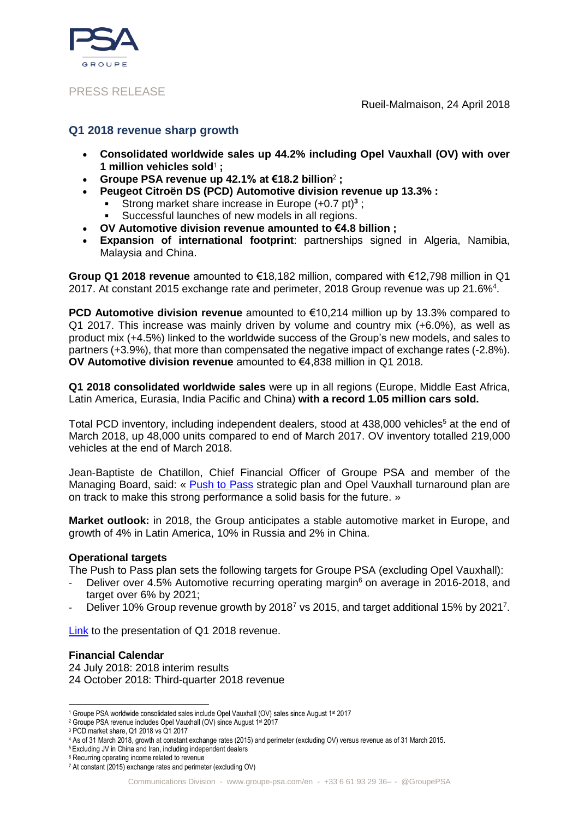

## PRESS RELEASE

Rueil-Malmaison, 24 April 2018

# **Q1 2018 revenue sharp growth**

- **Consolidated worldwide sales up 44.2% including Opel Vauxhall (OV) with over 1 million vehicles sold**<sup>1</sup> **;**
- **Groupe PSA revenue up 42.1% at €18.2 billion**<sup>2</sup> **;**
- **Peugeot Citroën DS (PCD) Automotive division revenue up 13.3% :**
	- Strong market share increase in Europe (+0.7 pt)**<sup>3</sup>** ;
	- Successful launches of new models in all regions.
- **OV Automotive division revenue amounted to €4.8 billion ;**
- **Expansion of international footprint**: partnerships signed in Algeria, Namibia, Malaysia and China.

**Group Q1 2018 revenue** amounted to €18,182 million, compared with €12,798 million in Q1 2017. At constant 2015 exchange rate and perimeter, 2018 Group revenue was up 21.6% $4$ .

**PCD Automotive division revenue** amounted to €10,214 million up by 13.3% compared to Q1 2017. This increase was mainly driven by volume and country mix (+6.0%), as well as product mix (+4.5%) linked to the worldwide success of the Group's new models, and sales to partners (+3.9%), that more than compensated the negative impact of exchange rates (-2.8%). **OV Automotive division revenue** amounted to €4,838 million in Q1 2018.

**Q1 2018 consolidated worldwide sales** were up in all regions (Europe, Middle East Africa, Latin America, Eurasia, India Pacific and China) **with a record 1.05 million cars sold.**

Total PCD inventory, including independent dealers, stood at 438,000 vehicles<sup>5</sup> at the end of March 2018, up 48,000 units compared to end of March 2017. OV inventory totalled 219,000 vehicles at the end of March 2018.

Jean-Baptiste de Chatillon, Chief Financial Officer of Groupe PSA and member of the Managing Board, said: « [Push to Pass](https://www.groupe-psa.com/en/automotive-group/strategy/) strategic plan and Opel Vauxhall turnaround plan are on track to make this strong performance a solid basis for the future. »

**Market outlook:** in 2018, the Group anticipates a stable automotive market in Europe, and growth of 4% in Latin America, 10% in Russia and 2% in China.

### **Operational targets**

The Push to Pass plan sets the following targets for Groupe PSA (excluding Opel Vauxhall):

- Deliver over 4.5% Automotive recurring operating margin<sup>6</sup> on average in 2016-2018, and target over 6% by 2021;
- Deliver 10% Group revenue growth by 2018<sup>7</sup> vs 2015, and target additional 15% by 2021<sup>7</sup>.

[Link](https://www.groupe-psa.com/en/publication/q1-2018-revenue/) to the presentation of Q1 2018 revenue.

### **Financial Calendar**

24 July 2018: 2018 interim results 24 October 2018: Third-quarter 2018 revenue

<sup>&</sup>lt;u>.</u> 1 Groupe PSA worldwide consolidated sales include Opel Vauxhall (OV) sales since August 1st 2017

<sup>&</sup>lt;sup>2</sup> Groupe PSA revenue includes Opel Vauxhall (OV) since August 1<sup>st</sup> 2017

<sup>3</sup> PCD market share, Q1 2018 vs Q1 2017

<sup>4</sup> As of 31 March 2018, growth at constant exchange rates (2015) and perimeter (excluding OV) versus revenue as of 31 March 2015.

<sup>5</sup> Excluding JV in China and Iran, including independent dealers

<sup>6</sup> Recurring operating income related to revenue

<sup>7</sup> At constant (2015) exchange rates and perimeter (excluding OV)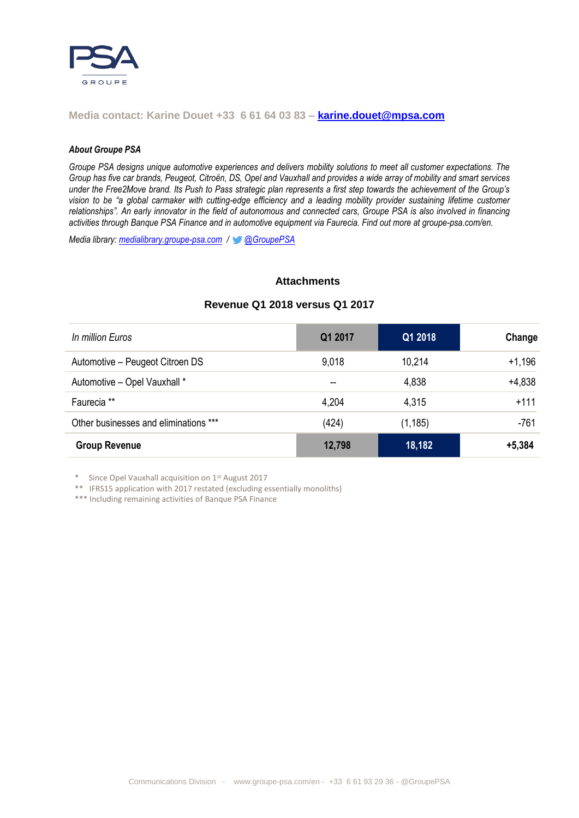

## **Media contact: Karine Douet +33 6 61 64 03 83 – [karine.douet@mpsa.com](mailto:karine.douet@mpsa.com)**

#### *About Groupe PSA*

*Groupe PSA designs unique automotive experiences and delivers mobility solutions to meet all customer expectations. The Group has five car brands[, Peugeot,](http://www.peugeot.com/en) [Citroën,](http://www.citroen.com/en) [DS,](http://www.dsautomobiles.co.uk/) [Opel](http://www.opel.de/) and [Vauxhall](http://www.vauxhall.co.uk/) and provides a wide array of mobility and smart services under the [Free2Move](http://fr.free2move.com/en/) brand. Its Push to Pass strategic plan represents a first step towards the achievement of the Group's vision to be "a global [carmaker](https://www.groupe-psa.com/en) with cutting-edge efficiency and a leading mobility provider sustaining lifetime customer relationships". An early innovator in the field of [autonomous and connected cars,](https://www.groupe-psa.com/en/story/en-route-vers-la-voiture-autonome/) Groupe PSA is also involved in financing activities throug[h Banque PSA Finance](http://www.banquepsafinance.com/) and in automotive equipment vi[a Faurecia.](http://www.faurecia.com/en) Find out more at groupe-psa.com/en.*

*Media library: [medialibrary.groupe-psa.com](http://medialibrary.groupe-psa.com/) / [@GroupePSA](http://twitter.com/GroupePSA)*

#### **Attachments**

| In million Euros                      | Q1 2017 | Q1 2018  | Change   |
|---------------------------------------|---------|----------|----------|
| Automotive - Peugeot Citroen DS       | 9,018   | 10,214   | $+1,196$ |
| Automotive - Opel Vauxhall *          | $- -$   | 4,838    | $+4,838$ |
| Faurecia <sup>**</sup>                | 4,204   | 4,315    | $+111$   |
| Other businesses and eliminations *** | (424)   | (1, 185) | -761     |
| <b>Group Revenue</b>                  | 12,798  | 18,182   | $+5,384$ |

# **Revenue Q1 2018 versus Q1 2017**

\* Since Opel Vauxhall acquisition on 1st August 2017

\*\* IFRS15 application with 2017 restated (excluding essentially monoliths)

\*\*\* Including remaining activities of Banque PSA Finance